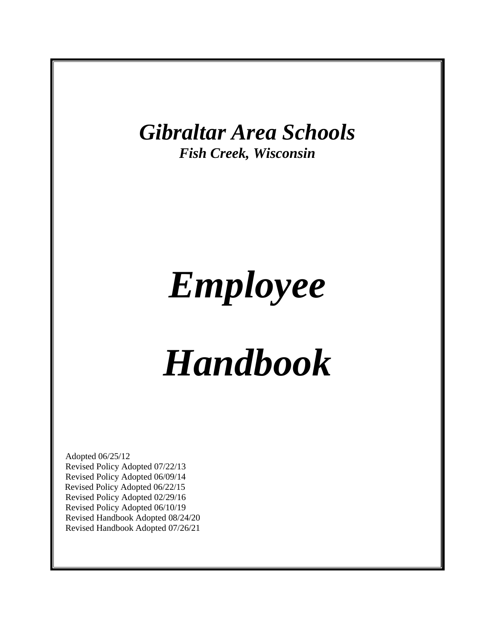

# *Employee*

# *Handbook*

Adopted 06/25/12 Revised Policy Adopted 07/22/13 Revised Policy Adopted 06/09/14 Revised Policy Adopted 06/22/15 Revised Policy Adopted 02/29/16 Revised Policy Adopted 06/10/19 Revised Handbook Adopted 08/24/20 Revised Handbook Adopted 07/26/21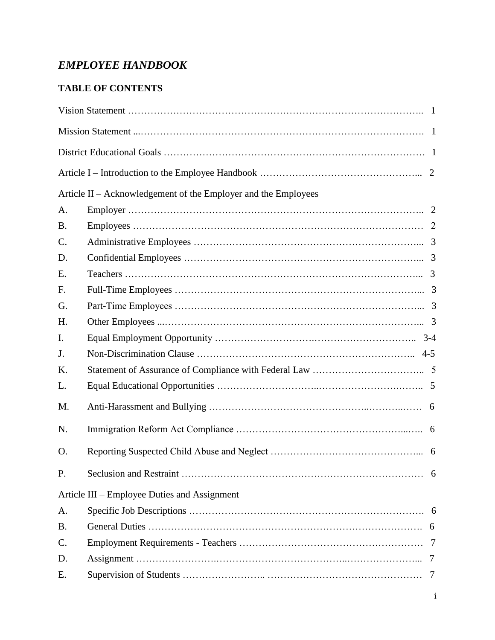## *EMPLOYEE HANDBOOK*

## **TABLE OF CONTENTS**

|                 | Article II – Acknowledgement of the Employer and the Employees |   |
|-----------------|----------------------------------------------------------------|---|
| A.              |                                                                |   |
| <b>B.</b>       |                                                                |   |
| $\mathcal{C}$ . |                                                                |   |
| D.              |                                                                |   |
| E.              |                                                                |   |
| F.              |                                                                |   |
| G.              |                                                                |   |
| H.              |                                                                |   |
| I.              |                                                                |   |
| J.              |                                                                |   |
| K.              |                                                                |   |
| L.              |                                                                |   |
| M.              |                                                                |   |
| N.              |                                                                |   |
| O.              |                                                                |   |
| P.              |                                                                |   |
|                 | Article III – Employee Duties and Assignment                   |   |
| A.              |                                                                |   |
| <b>B.</b>       |                                                                |   |
| C.              |                                                                |   |
| D.              |                                                                |   |
| Ε.              |                                                                | 7 |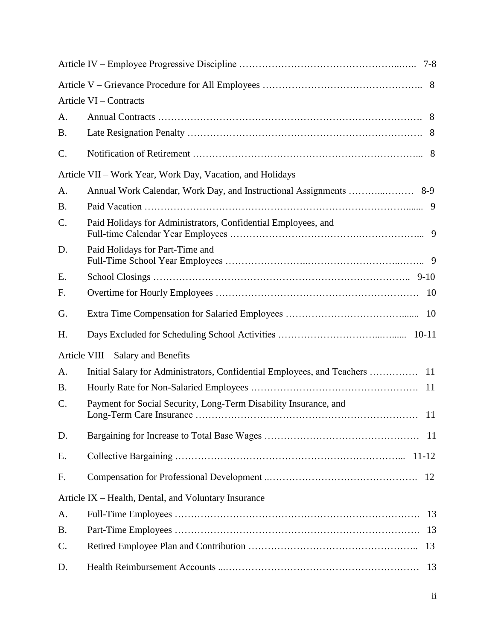|                 | Article VI – Contracts                                           |  |
|-----------------|------------------------------------------------------------------|--|
| A.              |                                                                  |  |
| <b>B.</b>       |                                                                  |  |
| C.              |                                                                  |  |
|                 | Article VII – Work Year, Work Day, Vacation, and Holidays        |  |
| A.              |                                                                  |  |
| <b>B.</b>       |                                                                  |  |
| $\mathcal{C}$ . | Paid Holidays for Administrators, Confidential Employees, and    |  |
| D.              | Paid Holidays for Part-Time and                                  |  |
| Ε.              |                                                                  |  |
| F.              |                                                                  |  |
| G.              |                                                                  |  |
| Η.              |                                                                  |  |
|                 | Article VIII – Salary and Benefits                               |  |
| A.              |                                                                  |  |
| <b>B.</b>       |                                                                  |  |
| C.              | Payment for Social Security, Long-Term Disability Insurance, and |  |
| D.              |                                                                  |  |
| Ε.              |                                                                  |  |
| F.              |                                                                  |  |
|                 | Article IX – Health, Dental, and Voluntary Insurance             |  |
| A.              |                                                                  |  |
| <b>B.</b>       |                                                                  |  |
| $\mathcal{C}$ . |                                                                  |  |
| D.              |                                                                  |  |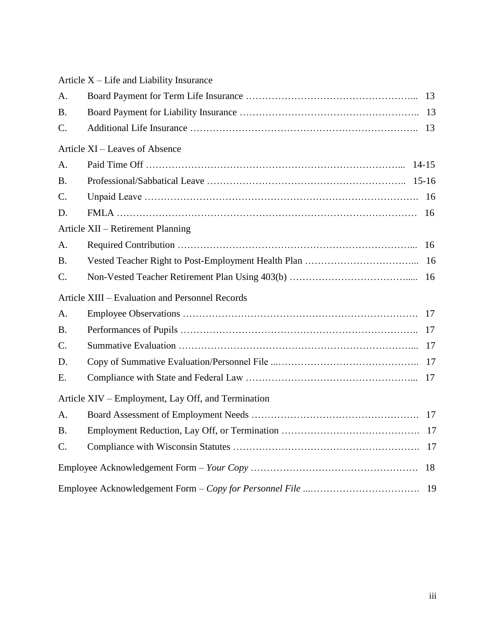|                 | Article X – Life and Liability Insurance           |  |
|-----------------|----------------------------------------------------|--|
| A.              |                                                    |  |
| <b>B.</b>       |                                                    |  |
| C.              |                                                    |  |
|                 | Article XI – Leaves of Absence                     |  |
| A.              |                                                    |  |
| <b>B.</b>       |                                                    |  |
| C.              |                                                    |  |
| D.              |                                                    |  |
|                 | Article XII – Retirement Planning                  |  |
| A.              |                                                    |  |
| <b>B.</b>       |                                                    |  |
| C.              |                                                    |  |
|                 | Article XIII - Evaluation and Personnel Records    |  |
| A.              |                                                    |  |
| <b>B.</b>       |                                                    |  |
| C.              |                                                    |  |
| D.              |                                                    |  |
| Ε.              |                                                    |  |
|                 | Article XIV – Employment, Lay Off, and Termination |  |
| A.              |                                                    |  |
| <b>B.</b>       |                                                    |  |
| $\mathcal{C}$ . |                                                    |  |
|                 |                                                    |  |
|                 |                                                    |  |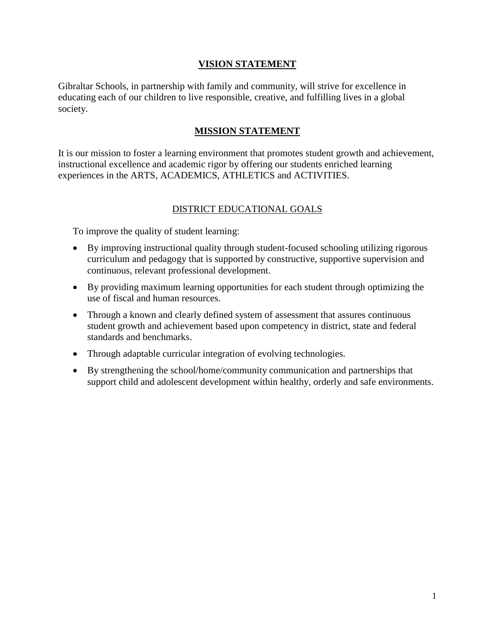#### **VISION STATEMENT**

Gibraltar Schools, in partnership with family and community, will strive for excellence in educating each of our children to live responsible, creative, and fulfilling lives in a global society.

#### **MISSION STATEMENT**

It is our mission to foster a learning environment that promotes student growth and achievement, instructional excellence and academic rigor by offering our students enriched learning experiences in the ARTS, ACADEMICS, ATHLETICS and ACTIVITIES.

#### DISTRICT EDUCATIONAL GOALS

To improve the quality of student learning:

- By improving instructional quality through student-focused schooling utilizing rigorous curriculum and pedagogy that is supported by constructive, supportive supervision and continuous, relevant professional development.
- By providing maximum learning opportunities for each student through optimizing the use of fiscal and human resources.
- Through a known and clearly defined system of assessment that assures continuous student growth and achievement based upon competency in district, state and federal standards and benchmarks.
- Through adaptable curricular integration of evolving technologies.
- By strengthening the school/home/community communication and partnerships that support child and adolescent development within healthy, orderly and safe environments.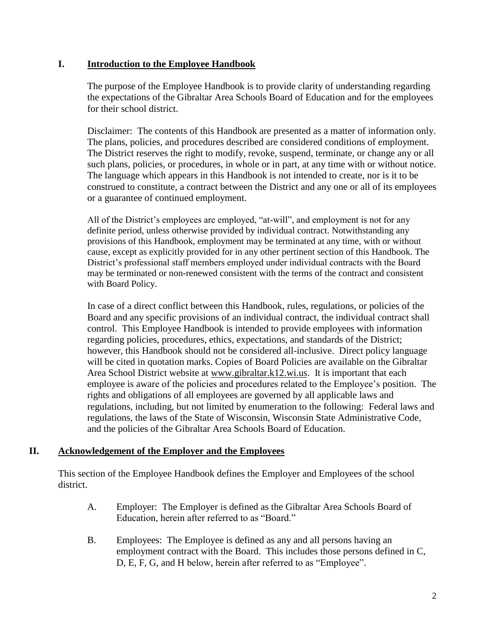#### **I. Introduction to the Employee Handbook**

The purpose of the Employee Handbook is to provide clarity of understanding regarding the expectations of the Gibraltar Area Schools Board of Education and for the employees for their school district.

Disclaimer: The contents of this Handbook are presented as a matter of information only. The plans, policies, and procedures described are considered conditions of employment. The District reserves the right to modify, revoke, suspend, terminate, or change any or all such plans, policies, or procedures, in whole or in part, at any time with or without notice. The language which appears in this Handbook is not intended to create, nor is it to be construed to constitute, a contract between the District and any one or all of its employees or a guarantee of continued employment.

All of the District's employees are employed, "at-will", and employment is not for any definite period, unless otherwise provided by individual contract. Notwithstanding any provisions of this Handbook, employment may be terminated at any time, with or without cause, except as explicitly provided for in any other pertinent section of this Handbook. The District's professional staff members employed under individual contracts with the Board may be terminated or non-renewed consistent with the terms of the contract and consistent with Board Policy.

In case of a direct conflict between this Handbook, rules, regulations, or policies of the Board and any specific provisions of an individual contract, the individual contract shall control. This Employee Handbook is intended to provide employees with information regarding policies, procedures, ethics, expectations, and standards of the District; however, this Handbook should not be considered all-inclusive. Direct policy language will be cited in quotation marks. Copies of Board Policies are available on the Gibraltar Area School District website at [www.gibraltar.k12.wi.us.](http://www.gibraltar.k12.wi.us/) It is important that each employee is aware of the policies and procedures related to the Employee's position. The rights and obligations of all employees are governed by all applicable laws and regulations, including, but not limited by enumeration to the following: Federal laws and regulations, the laws of the State of Wisconsin, Wisconsin State Administrative Code, and the policies of the Gibraltar Area Schools Board of Education.

#### **II. Acknowledgement of the Employer and the Employees**

This section of the Employee Handbook defines the Employer and Employees of the school district.

- A. Employer: The Employer is defined as the Gibraltar Area Schools Board of Education, herein after referred to as "Board."
- B. Employees: The Employee is defined as any and all persons having an employment contract with the Board. This includes those persons defined in C, D, E, F, G, and H below, herein after referred to as "Employee".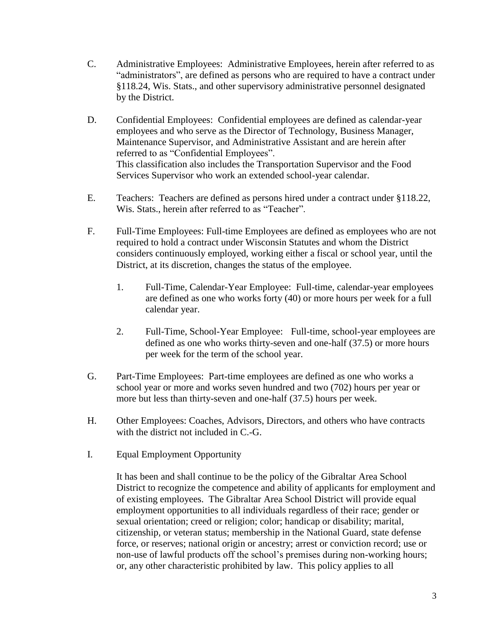- C. Administrative Employees: Administrative Employees, herein after referred to as "administrators", are defined as persons who are required to have a contract under §118.24, Wis. Stats., and other supervisory administrative personnel designated by the District.
- D. Confidential Employees: Confidential employees are defined as calendar-year employees and who serve as the Director of Technology, Business Manager, Maintenance Supervisor, and Administrative Assistant and are herein after referred to as "Confidential Employees". This classification also includes the Transportation Supervisor and the Food Services Supervisor who work an extended school-year calendar.
- E. Teachers: Teachers are defined as persons hired under a contract under §118.22, Wis. Stats., herein after referred to as "Teacher".
- F. Full-Time Employees: Full-time Employees are defined as employees who are not required to hold a contract under Wisconsin Statutes and whom the District considers continuously employed, working either a fiscal or school year, until the District, at its discretion, changes the status of the employee.
	- 1. Full-Time, Calendar-Year Employee: Full-time, calendar-year employees are defined as one who works forty (40) or more hours per week for a full calendar year.
	- 2. Full-Time, School-Year Employee: Full-time, school-year employees are defined as one who works thirty-seven and one-half (37.5) or more hours per week for the term of the school year.
- G. Part-Time Employees: Part-time employees are defined as one who works a school year or more and works seven hundred and two (702) hours per year or more but less than thirty-seven and one-half (37.5) hours per week.
- H. Other Employees: Coaches, Advisors, Directors, and others who have contracts with the district not included in C.-G.
- I. Equal Employment Opportunity

It has been and shall continue to be the policy of the Gibraltar Area School District to recognize the competence and ability of applicants for employment and of existing employees. The Gibraltar Area School District will provide equal employment opportunities to all individuals regardless of their race; gender or sexual orientation; creed or religion; color; handicap or disability; marital, citizenship, or veteran status; membership in the National Guard, state defense force, or reserves; national origin or ancestry; arrest or conviction record; use or non-use of lawful products off the school's premises during non-working hours; or, any other characteristic prohibited by law. This policy applies to all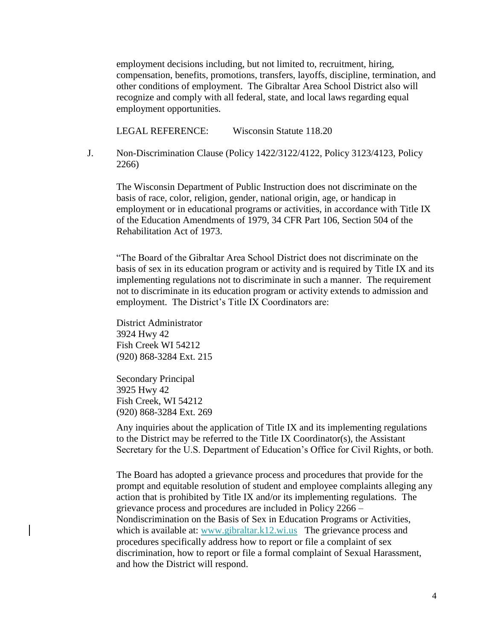employment decisions including, but not limited to, recruitment, hiring, compensation, benefits, promotions, transfers, layoffs, discipline, termination, and other conditions of employment. The Gibraltar Area School District also will recognize and comply with all federal, state, and local laws regarding equal employment opportunities.

LEGAL REFERENCE: Wisconsin Statute 118.20

J. Non-Discrimination Clause (Policy 1422/3122/4122, Policy 3123/4123, Policy 2266)

The Wisconsin Department of Public Instruction does not discriminate on the basis of race, color, religion, gender, national origin, age, or handicap in employment or in educational programs or activities, in accordance with Title IX of the Education Amendments of 1979, 34 CFR Part 106, Section 504 of the Rehabilitation Act of 1973.

"The Board of the Gibraltar Area School District does not discriminate on the basis of sex in its education program or activity and is required by Title IX and its implementing regulations not to discriminate in such a manner. The requirement not to discriminate in its education program or activity extends to admission and employment. The District's Title IX Coordinators are:

District Administrator 3924 Hwy 42 Fish Creek WI 54212 (920) 868-3284 Ext. 215

Secondary Principal 3925 Hwy 42 Fish Creek, WI 54212 (920) 868-3284 Ext. 269

Any inquiries about the application of Title IX and its implementing regulations to the District may be referred to the Title IX Coordinator(s), the Assistant Secretary for the U.S. Department of Education's Office for Civil Rights, or both.

The Board has adopted a grievance process and procedures that provide for the prompt and equitable resolution of student and employee complaints alleging any action that is prohibited by Title IX and/or its implementing regulations. The grievance process and procedures are included in Policy 2266 – Nondiscrimination on the Basis of Sex in Education Programs or Activities, which is available at: www.gibraltar.k12.wi.us The grievance process and procedures specifically address how to report or file a complaint of sex discrimination, how to report or file a formal complaint of Sexual Harassment, and how the District will respond.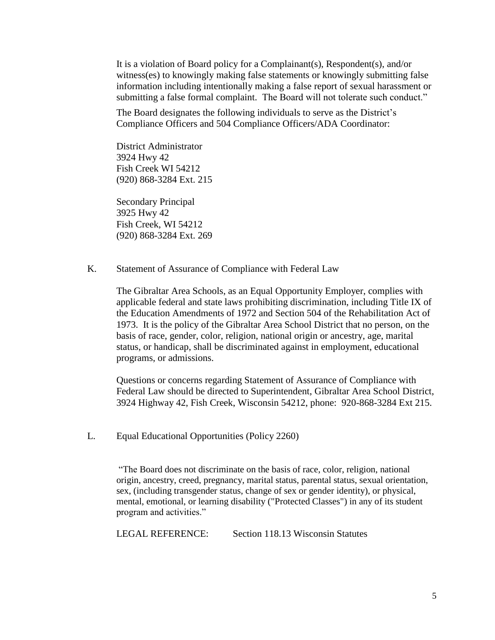It is a violation of Board policy for a Complainant(s), Respondent(s), and/or witness(es) to knowingly making false statements or knowingly submitting false information including intentionally making a false report of sexual harassment or submitting a false formal complaint. The Board will not tolerate such conduct."

The Board designates the following individuals to serve as the District's Compliance Officers and 504 Compliance Officers/ADA Coordinator:

District Administrator 3924 Hwy 42 Fish Creek WI 54212 (920) 868-3284 Ext. 215

Secondary Principal 3925 Hwy 42 Fish Creek, WI 54212 (920) 868-3284 Ext. 269

K. Statement of Assurance of Compliance with Federal Law

The Gibraltar Area Schools, as an Equal Opportunity Employer, complies with applicable federal and state laws prohibiting discrimination, including Title IX of the Education Amendments of 1972 and Section 504 of the Rehabilitation Act of 1973. It is the policy of the Gibraltar Area School District that no person, on the basis of race, gender, color, religion, national origin or ancestry, age, marital status, or handicap, shall be discriminated against in employment, educational programs, or admissions.

Questions or concerns regarding Statement of Assurance of Compliance with Federal Law should be directed to Superintendent, Gibraltar Area School District, 3924 Highway 42, Fish Creek, Wisconsin 54212, phone: 920-868-3284 Ext 215.

L. Equal Educational Opportunities (Policy 2260)

"The Board does not discriminate on the basis of race, color, religion, national origin, ancestry, creed, pregnancy, marital status, parental status, sexual orientation, sex, (including transgender status, change of sex or gender identity), or physical, mental, emotional, or learning disability ("Protected Classes") in any of its student program and activities."

LEGAL REFERENCE: Section 118.13 Wisconsin Statutes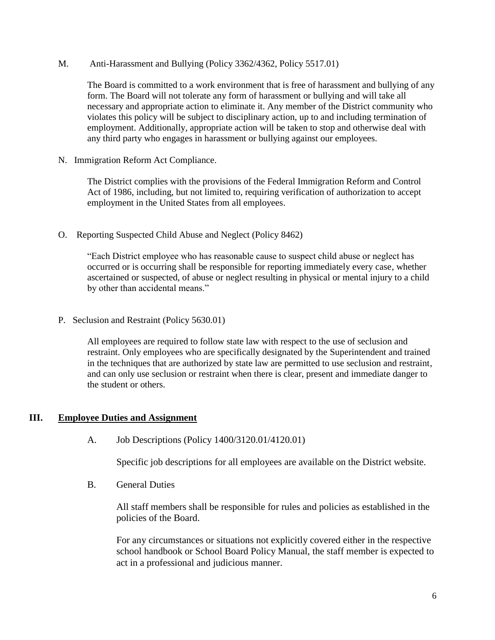M. Anti-Harassment and Bullying (Policy 3362/4362, Policy 5517.01)

The Board is committed to a work environment that is free of harassment and bullying of any form. The Board will not tolerate any form of harassment or bullying and will take all necessary and appropriate action to eliminate it. Any member of the District community who violates this policy will be subject to disciplinary action, up to and including termination of employment. Additionally, appropriate action will be taken to stop and otherwise deal with any third party who engages in harassment or bullying against our employees.

N. Immigration Reform Act Compliance.

The District complies with the provisions of the Federal Immigration Reform and Control Act of 1986, including, but not limited to, requiring verification of authorization to accept employment in the United States from all employees.

O. Reporting Suspected Child Abuse and Neglect (Policy 8462)

"Each District employee who has reasonable cause to suspect child abuse or neglect has occurred or is occurring shall be responsible for reporting immediately every case, whether ascertained or suspected, of abuse or neglect resulting in physical or mental injury to a child by other than accidental means."

P. Seclusion and Restraint (Policy 5630.01)

All employees are required to follow state law with respect to the use of seclusion and restraint. Only employees who are specifically designated by the Superintendent and trained in the techniques that are authorized by state law are permitted to use seclusion and restraint, and can only use seclusion or restraint when there is clear, present and immediate danger to the student or others.

#### **III. Employee Duties and Assignment**

A. Job Descriptions (Policy 1400/3120.01/4120.01)

Specific job descriptions for all employees are available on the District website.

B. General Duties

All staff members shall be responsible for rules and policies as established in the policies of the Board.

For any circumstances or situations not explicitly covered either in the respective school handbook or School Board Policy Manual, the staff member is expected to act in a professional and judicious manner.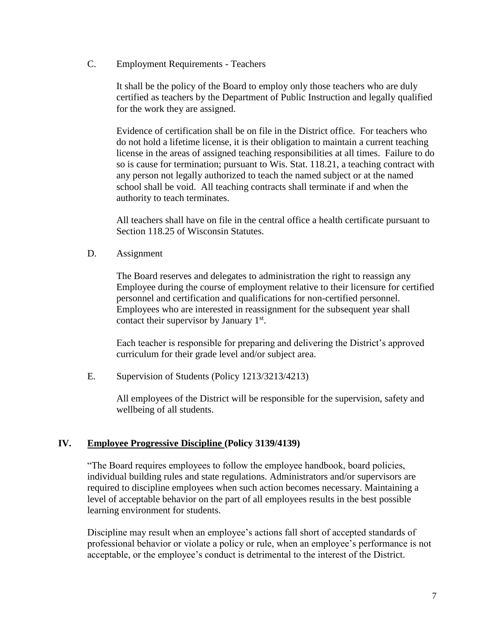C. Employment Requirements - Teachers

It shall be the policy of the Board to employ only those teachers who are duly certified as teachers by the Department of Public Instruction and legally qualified for the work they are assigned.

Evidence of certification shall be on file in the District office. For teachers who do not hold a lifetime license, it is their obligation to maintain a current teaching license in the areas of assigned teaching responsibilities at all times. Failure to do so is cause for termination; pursuant to Wis. Stat. 118.21, a teaching contract with any person not legally authorized to teach the named subject or at the named school shall be void. All teaching contracts shall terminate if and when the authority to teach terminates.

All teachers shall have on file in the central office a health certificate pursuant to Section 118.25 of Wisconsin Statutes.

D. Assignment

The Board reserves and delegates to administration the right to reassign any Employee during the course of employment relative to their licensure for certified personnel and certification and qualifications for non-certified personnel. Employees who are interested in reassignment for the subsequent year shall contact their supervisor by January  $1<sup>st</sup>$ .

Each teacher is responsible for preparing and delivering the District's approved curriculum for their grade level and/or subject area.

E. Supervision of Students (Policy 1213/3213/4213)

All employees of the District will be responsible for the supervision, safety and wellbeing of all students.

## **IV. Employee Progressive Discipline (Policy 3139/4139)**

"The Board requires employees to follow the employee handbook, board policies, individual building rules and state regulations. Administrators and/or supervisors are required to discipline employees when such action becomes necessary. Maintaining a level of acceptable behavior on the part of all employees results in the best possible learning environment for students.

Discipline may result when an employee's actions fall short of accepted standards of professional behavior or violate a policy or rule, when an employee's performance is not acceptable, or the employee's conduct is detrimental to the interest of the District.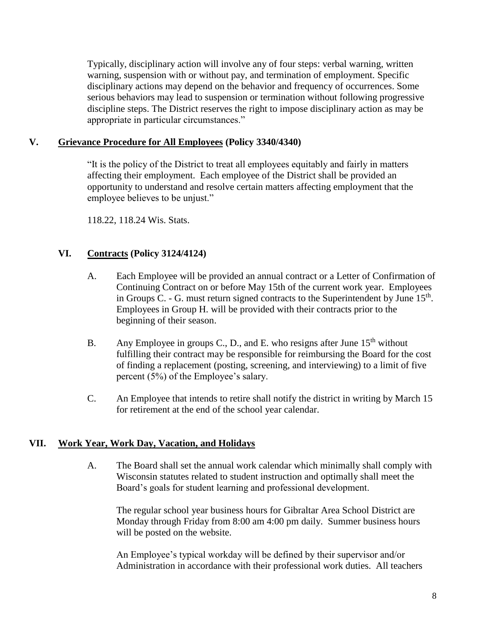Typically, disciplinary action will involve any of four steps: verbal warning, written warning, suspension with or without pay, and termination of employment. Specific disciplinary actions may depend on the behavior and frequency of occurrences. Some serious behaviors may lead to suspension or termination without following progressive discipline steps. The District reserves the right to impose disciplinary action as may be appropriate in particular circumstances."

#### **V. Grievance Procedure for All Employees (Policy 3340/4340)**

"It is the policy of the District to treat all employees equitably and fairly in matters affecting their employment. Each employee of the District shall be provided an opportunity to understand and resolve certain matters affecting employment that the employee believes to be unjust."

118.22, 118.24 Wis. Stats.

#### **VI. Contracts (Policy 3124/4124)**

- A. Each Employee will be provided an annual contract or a Letter of Confirmation of Continuing Contract on or before May 15th of the current work year. Employees in Groups C. - G. must return signed contracts to the Superintendent by June  $15<sup>th</sup>$ . Employees in Group H. will be provided with their contracts prior to the beginning of their season.
- B. Any Employee in groups C., D., and E. who resigns after June  $15<sup>th</sup>$  without fulfilling their contract may be responsible for reimbursing the Board for the cost of finding a replacement (posting, screening, and interviewing) to a limit of five percent (5%) of the Employee's salary.
- C. An Employee that intends to retire shall notify the district in writing by March 15 for retirement at the end of the school year calendar.

#### **VII. Work Year, Work Day, Vacation, and Holidays**

A. The Board shall set the annual work calendar which minimally shall comply with Wisconsin statutes related to student instruction and optimally shall meet the Board's goals for student learning and professional development.

The regular school year business hours for Gibraltar Area School District are Monday through Friday from 8:00 am 4:00 pm daily. Summer business hours will be posted on the website.

An Employee's typical workday will be defined by their supervisor and/or Administration in accordance with their professional work duties. All teachers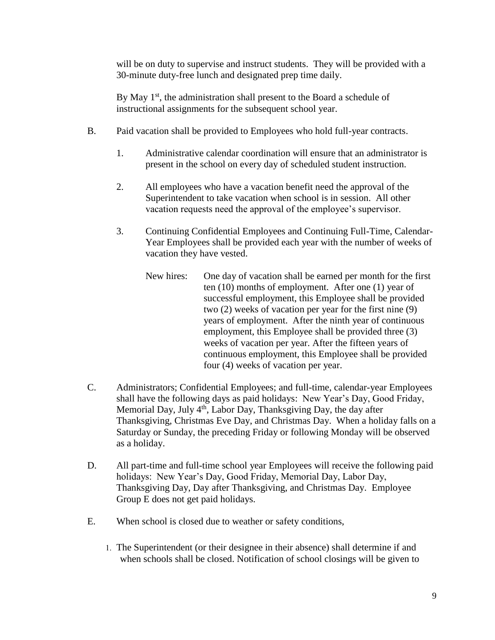will be on duty to supervise and instruct students. They will be provided with a 30-minute duty-free lunch and designated prep time daily.

By May 1<sup>st</sup>, the administration shall present to the Board a schedule of instructional assignments for the subsequent school year.

- B. Paid vacation shall be provided to Employees who hold full-year contracts.
	- 1. Administrative calendar coordination will ensure that an administrator is present in the school on every day of scheduled student instruction.
	- 2. All employees who have a vacation benefit need the approval of the Superintendent to take vacation when school is in session. All other vacation requests need the approval of the employee's supervisor.
	- 3. Continuing Confidential Employees and Continuing Full-Time, Calendar-Year Employees shall be provided each year with the number of weeks of vacation they have vested.
		- New hires: One day of vacation shall be earned per month for the first ten (10) months of employment. After one (1) year of successful employment, this Employee shall be provided two (2) weeks of vacation per year for the first nine (9) years of employment. After the ninth year of continuous employment, this Employee shall be provided three (3) weeks of vacation per year. After the fifteen years of continuous employment, this Employee shall be provided four (4) weeks of vacation per year.
- C. Administrators; Confidential Employees; and full-time, calendar-year Employees shall have the following days as paid holidays: New Year's Day, Good Friday, Memorial Day, July 4<sup>th</sup>, Labor Day, Thanksgiving Day, the day after Thanksgiving, Christmas Eve Day, and Christmas Day. When a holiday falls on a Saturday or Sunday, the preceding Friday or following Monday will be observed as a holiday.
- D. All part-time and full-time school year Employees will receive the following paid holidays: New Year's Day, Good Friday, Memorial Day, Labor Day, Thanksgiving Day, Day after Thanksgiving, and Christmas Day. Employee Group E does not get paid holidays.
- E. When school is closed due to weather or safety conditions,
	- 1. The Superintendent (or their designee in their absence) shall determine if and when schools shall be closed. Notification of school closings will be given to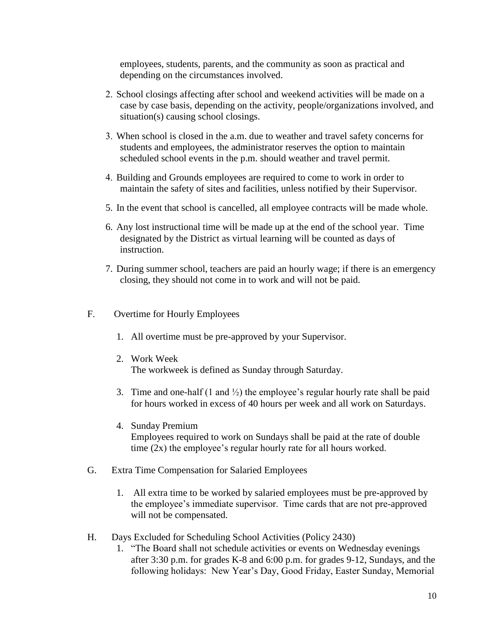employees, students, parents, and the community as soon as practical and depending on the circumstances involved.

- 2. School closings affecting after school and weekend activities will be made on a case by case basis, depending on the activity, people/organizations involved, and situation(s) causing school closings.
- 3. When school is closed in the a.m. due to weather and travel safety concerns for students and employees, the administrator reserves the option to maintain scheduled school events in the p.m. should weather and travel permit.
- 4. Building and Grounds employees are required to come to work in order to maintain the safety of sites and facilities, unless notified by their Supervisor.
- 5. In the event that school is cancelled, all employee contracts will be made whole.
- 6. Any lost instructional time will be made up at the end of the school year. Time designated by the District as virtual learning will be counted as days of instruction.
- 7. During summer school, teachers are paid an hourly wage; if there is an emergency closing, they should not come in to work and will not be paid.
- F. Overtime for Hourly Employees
	- 1. All overtime must be pre-approved by your Supervisor.
	- 2. Work Week The workweek is defined as Sunday through Saturday.
	- 3. Time and one-half  $(1 \text{ and } \frac{1}{2})$  the employee's regular hourly rate shall be paid for hours worked in excess of 40 hours per week and all work on Saturdays.
	- 4. Sunday Premium Employees required to work on Sundays shall be paid at the rate of double time (2x) the employee's regular hourly rate for all hours worked.
- G. Extra Time Compensation for Salaried Employees
	- 1. All extra time to be worked by salaried employees must be pre-approved by the employee's immediate supervisor. Time cards that are not pre-approved will not be compensated.
- H. Days Excluded for Scheduling School Activities (Policy 2430)
	- 1. "The Board shall not schedule activities or events on Wednesday evenings after 3:30 p.m. for grades K-8 and 6:00 p.m. for grades 9-12, Sundays, and the following holidays: New Year's Day, Good Friday, Easter Sunday, Memorial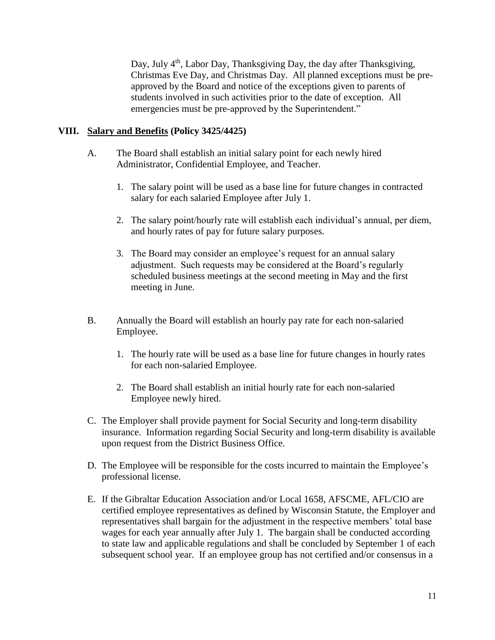Day, July  $4<sup>th</sup>$ , Labor Day, Thanksgiving Day, the day after Thanksgiving, Christmas Eve Day, and Christmas Day. All planned exceptions must be preapproved by the Board and notice of the exceptions given to parents of students involved in such activities prior to the date of exception. All emergencies must be pre-approved by the Superintendent."

#### **VIII. Salary and Benefits (Policy 3425/4425)**

- A. The Board shall establish an initial salary point for each newly hired Administrator, Confidential Employee, and Teacher.
	- 1. The salary point will be used as a base line for future changes in contracted salary for each salaried Employee after July 1.
	- 2. The salary point/hourly rate will establish each individual's annual, per diem, and hourly rates of pay for future salary purposes.
	- 3. The Board may consider an employee's request for an annual salary adjustment. Such requests may be considered at the Board's regularly scheduled business meetings at the second meeting in May and the first meeting in June.
- B. Annually the Board will establish an hourly pay rate for each non-salaried Employee.
	- 1. The hourly rate will be used as a base line for future changes in hourly rates for each non-salaried Employee.
	- 2. The Board shall establish an initial hourly rate for each non-salaried Employee newly hired.
- C. The Employer shall provide payment for Social Security and long-term disability insurance. Information regarding Social Security and long-term disability is available upon request from the District Business Office.
- D. The Employee will be responsible for the costs incurred to maintain the Employee's professional license.
- E. If the Gibraltar Education Association and/or Local 1658, AFSCME, AFL/CIO are certified employee representatives as defined by Wisconsin Statute, the Employer and representatives shall bargain for the adjustment in the respective members' total base wages for each year annually after July 1. The bargain shall be conducted according to state law and applicable regulations and shall be concluded by September 1 of each subsequent school year. If an employee group has not certified and/or consensus in a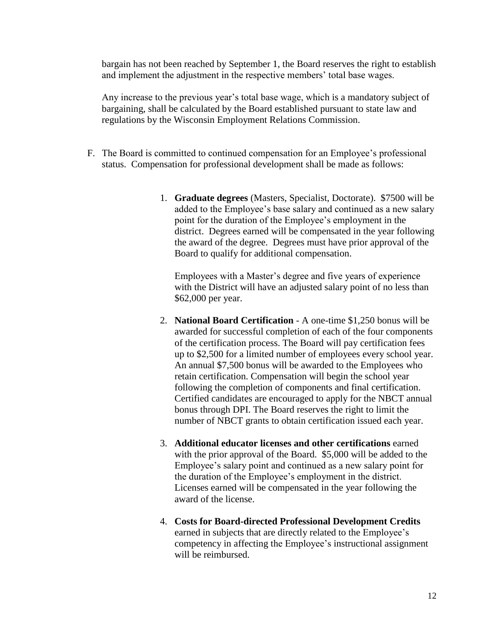bargain has not been reached by September 1, the Board reserves the right to establish and implement the adjustment in the respective members' total base wages.

Any increase to the previous year's total base wage, which is a mandatory subject of bargaining, shall be calculated by the Board established pursuant to state law and regulations by the Wisconsin Employment Relations Commission.

- F. The Board is committed to continued compensation for an Employee's professional status. Compensation for professional development shall be made as follows:
	- 1. **Graduate degrees** (Masters, Specialist, Doctorate). \$7500 will be added to the Employee's base salary and continued as a new salary point for the duration of the Employee's employment in the district. Degrees earned will be compensated in the year following the award of the degree. Degrees must have prior approval of the Board to qualify for additional compensation.

Employees with a Master's degree and five years of experience with the District will have an adjusted salary point of no less than \$62,000 per year.

- 2. **National Board Certification** A one-time \$1,250 bonus will be awarded for successful completion of each of the four components of the certification process. The Board will pay certification fees up to \$2,500 for a limited number of employees every school year. An annual \$7,500 bonus will be awarded to the Employees who retain certification. Compensation will begin the school year following the completion of components and final certification. Certified candidates are encouraged to apply for the NBCT annual bonus through DPI. The Board reserves the right to limit the number of NBCT grants to obtain certification issued each year.
- 3. **Additional educator licenses and other certifications** earned with the prior approval of the Board. \$5,000 will be added to the Employee's salary point and continued as a new salary point for the duration of the Employee's employment in the district. Licenses earned will be compensated in the year following the award of the license.
- 4. **Costs for Board-directed Professional Development Credits** earned in subjects that are directly related to the Employee's competency in affecting the Employee's instructional assignment will be reimbursed.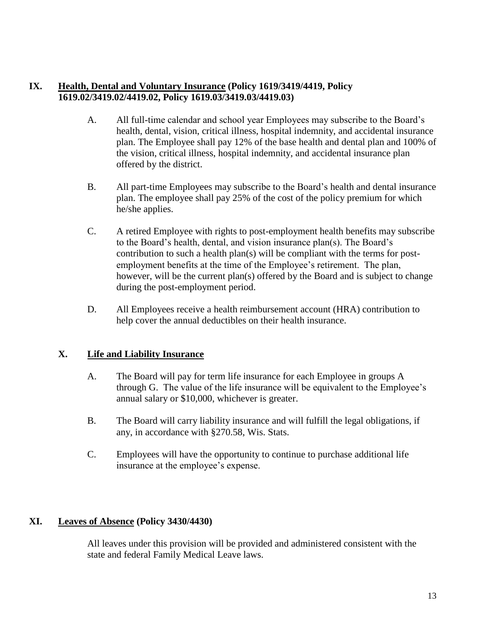#### **IX. Health, Dental and Voluntary Insurance (Policy 1619/3419/4419, Policy 1619.02/3419.02/4419.02, Policy 1619.03/3419.03/4419.03)**

- A. All full-time calendar and school year Employees may subscribe to the Board's health, dental, vision, critical illness, hospital indemnity, and accidental insurance plan. The Employee shall pay 12% of the base health and dental plan and 100% of the vision, critical illness, hospital indemnity, and accidental insurance plan offered by the district.
- B. All part-time Employees may subscribe to the Board's health and dental insurance plan. The employee shall pay 25% of the cost of the policy premium for which he/she applies.
- C. A retired Employee with rights to post-employment health benefits may subscribe to the Board's health, dental, and vision insurance plan(s). The Board's contribution to such a health plan(s) will be compliant with the terms for postemployment benefits at the time of the Employee's retirement. The plan, however, will be the current plan(s) offered by the Board and is subject to change during the post-employment period.
- D. All Employees receive a health reimbursement account (HRA) contribution to help cover the annual deductibles on their health insurance.

## **X. Life and Liability Insurance**

- A. The Board will pay for term life insurance for each Employee in groups A through G. The value of the life insurance will be equivalent to the Employee's annual salary or \$10,000, whichever is greater.
- B. The Board will carry liability insurance and will fulfill the legal obligations, if any, in accordance with §270.58, Wis. Stats.
- C. Employees will have the opportunity to continue to purchase additional life insurance at the employee's expense.

## **XI. Leaves of Absence (Policy 3430/4430)**

All leaves under this provision will be provided and administered consistent with the state and federal Family Medical Leave laws.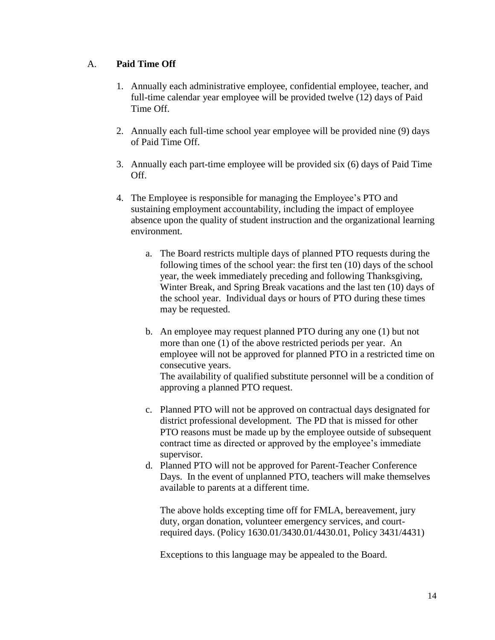#### A. **Paid Time Off**

- 1. Annually each administrative employee, confidential employee, teacher, and full-time calendar year employee will be provided twelve (12) days of Paid Time Off.
- 2. Annually each full-time school year employee will be provided nine (9) days of Paid Time Off.
- 3. Annually each part-time employee will be provided six (6) days of Paid Time Off.
- 4. The Employee is responsible for managing the Employee's PTO and sustaining employment accountability, including the impact of employee absence upon the quality of student instruction and the organizational learning environment.
	- a. The Board restricts multiple days of planned PTO requests during the following times of the school year: the first ten (10) days of the school year, the week immediately preceding and following Thanksgiving, Winter Break, and Spring Break vacations and the last ten (10) days of the school year. Individual days or hours of PTO during these times may be requested.
	- b. An employee may request planned PTO during any one (1) but not more than one (1) of the above restricted periods per year. An employee will not be approved for planned PTO in a restricted time on consecutive years.

The availability of qualified substitute personnel will be a condition of approving a planned PTO request.

- c. Planned PTO will not be approved on contractual days designated for district professional development. The PD that is missed for other PTO reasons must be made up by the employee outside of subsequent contract time as directed or approved by the employee's immediate supervisor.
- d. Planned PTO will not be approved for Parent-Teacher Conference Days. In the event of unplanned PTO, teachers will make themselves available to parents at a different time.

The above holds excepting time off for FMLA, bereavement, jury duty, organ donation, volunteer emergency services, and courtrequired days. (Policy 1630.01/3430.01/4430.01, Policy 3431/4431)

Exceptions to this language may be appealed to the Board.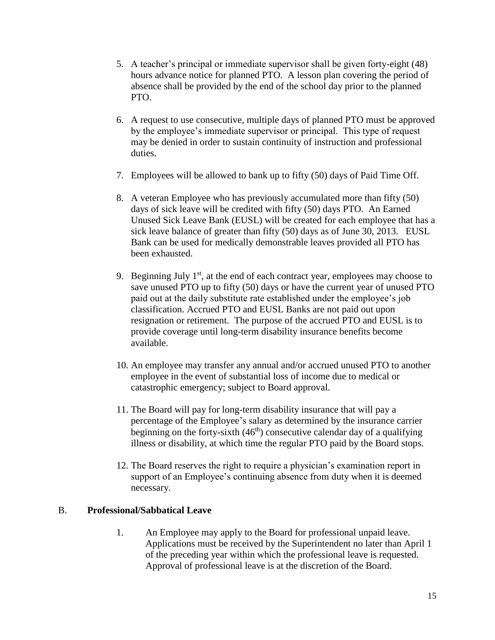- 5. A teacher's principal or immediate supervisor shall be given forty-eight (48) hours advance notice for planned PTO. A lesson plan covering the period of absence shall be provided by the end of the school day prior to the planned PTO.
- 6. A request to use consecutive, multiple days of planned PTO must be approved by the employee's immediate supervisor or principal. This type of request may be denied in order to sustain continuity of instruction and professional duties.
- 7. Employees will be allowed to bank up to fifty (50) days of Paid Time Off.
- 8. A veteran Employee who has previously accumulated more than fifty (50) days of sick leave will be credited with fifty (50) days PTO. An Earned Unused Sick Leave Bank (EUSL) will be created for each employee that has a sick leave balance of greater than fifty (50) days as of June 30, 2013. EUSL Bank can be used for medically demonstrable leaves provided all PTO has been exhausted.
- 9. Beginning July  $1<sup>st</sup>$ , at the end of each contract year, employees may choose to save unused PTO up to fifty (50) days or have the current year of unused PTO paid out at the daily substitute rate established under the employee's job classification. Accrued PTO and EUSL Banks are not paid out upon resignation or retirement. The purpose of the accrued PTO and EUSL is to provide coverage until long-term disability insurance benefits become available.
- 10. An employee may transfer any annual and/or accrued unused PTO to another employee in the event of substantial loss of income due to medical or catastrophic emergency; subject to Board approval.
- 11. The Board will pay for long-term disability insurance that will pay a percentage of the Employee's salary as determined by the insurance carrier beginning on the forty-sixth  $(46<sup>th</sup>)$  consecutive calendar day of a qualifying illness or disability, at which time the regular PTO paid by the Board stops.
- 12. The Board reserves the right to require a physician's examination report in support of an Employee's continuing absence from duty when it is deemed necessary.

#### B. **Professional/Sabbatical Leave**

1. An Employee may apply to the Board for professional unpaid leave. Applications must be received by the Superintendent no later than April 1 of the preceding year within which the professional leave is requested. Approval of professional leave is at the discretion of the Board.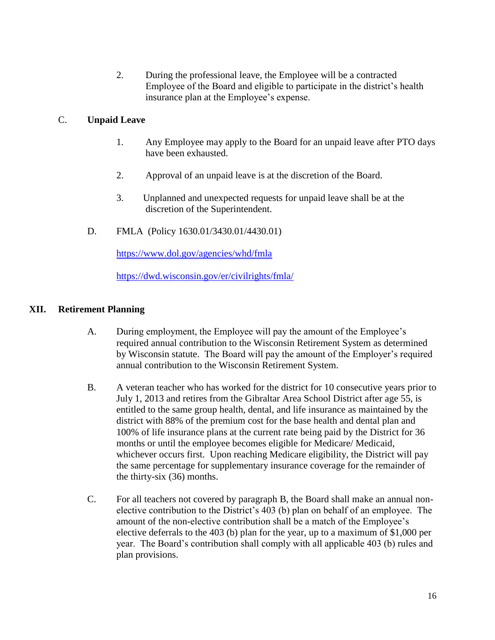2. During the professional leave, the Employee will be a contracted Employee of the Board and eligible to participate in the district's health insurance plan at the Employee's expense.

#### C. **Unpaid Leave**

- 1. Any Employee may apply to the Board for an unpaid leave after PTO days have been exhausted.
- 2. Approval of an unpaid leave is at the discretion of the Board.
- 3. Unplanned and unexpected requests for unpaid leave shall be at the discretion of the Superintendent.
- D. FMLA (Policy 1630.01/3430.01/4430.01)

<https://www.dol.gov/agencies/whd/fmla>

<https://dwd.wisconsin.gov/er/civilrights/fmla/>

#### **XII. Retirement Planning**

- A. During employment, the Employee will pay the amount of the Employee's required annual contribution to the Wisconsin Retirement System as determined by Wisconsin statute. The Board will pay the amount of the Employer's required annual contribution to the Wisconsin Retirement System.
- B. A veteran teacher who has worked for the district for 10 consecutive years prior to July 1, 2013 and retires from the Gibraltar Area School District after age 55, is entitled to the same group health, dental, and life insurance as maintained by the district with 88% of the premium cost for the base health and dental plan and 100% of life insurance plans at the current rate being paid by the District for 36 months or until the employee becomes eligible for Medicare/ Medicaid, whichever occurs first. Upon reaching Medicare eligibility, the District will pay the same percentage for supplementary insurance coverage for the remainder of the thirty-six (36) months.
- C. For all teachers not covered by paragraph B, the Board shall make an annual nonelective contribution to the District's 403 (b) plan on behalf of an employee. The amount of the non-elective contribution shall be a match of the Employee's elective deferrals to the 403 (b) plan for the year, up to a maximum of \$1,000 per year. The Board's contribution shall comply with all applicable 403 (b) rules and plan provisions.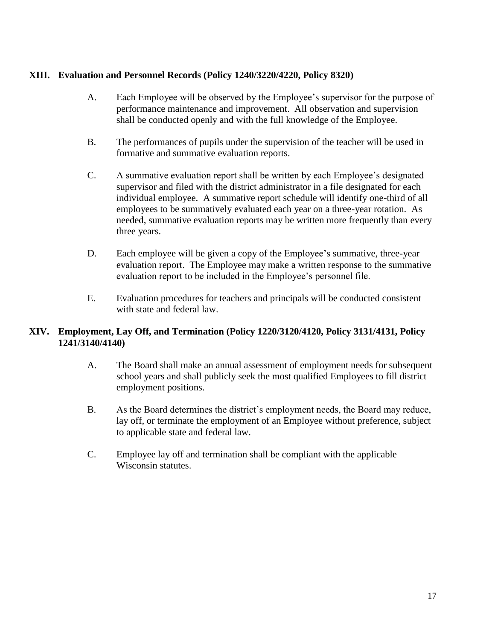#### **XIII. Evaluation and Personnel Records (Policy 1240/3220/4220, Policy 8320)**

- A. Each Employee will be observed by the Employee's supervisor for the purpose of performance maintenance and improvement. All observation and supervision shall be conducted openly and with the full knowledge of the Employee.
- B. The performances of pupils under the supervision of the teacher will be used in formative and summative evaluation reports.
- C. A summative evaluation report shall be written by each Employee's designated supervisor and filed with the district administrator in a file designated for each individual employee. A summative report schedule will identify one-third of all employees to be summatively evaluated each year on a three-year rotation. As needed, summative evaluation reports may be written more frequently than every three years.
- D. Each employee will be given a copy of the Employee's summative, three-year evaluation report. The Employee may make a written response to the summative evaluation report to be included in the Employee's personnel file.
- E. Evaluation procedures for teachers and principals will be conducted consistent with state and federal law.

#### **XIV. Employment, Lay Off, and Termination (Policy 1220/3120/4120, Policy 3131/4131, Policy 1241/3140/4140)**

- A. The Board shall make an annual assessment of employment needs for subsequent school years and shall publicly seek the most qualified Employees to fill district employment positions.
- B. As the Board determines the district's employment needs, the Board may reduce, lay off, or terminate the employment of an Employee without preference, subject to applicable state and federal law.
- C. Employee lay off and termination shall be compliant with the applicable Wisconsin statutes.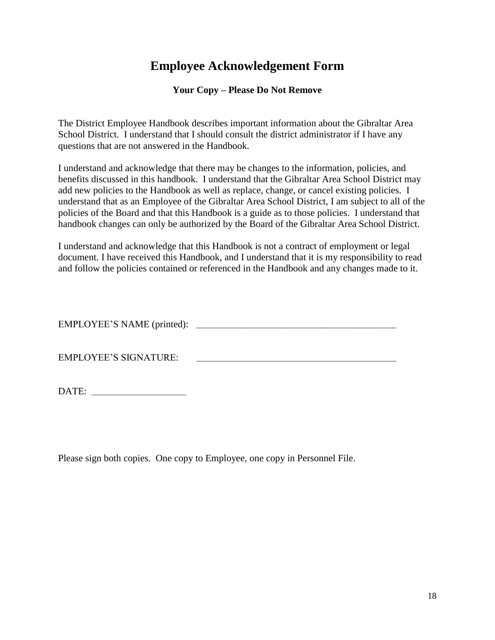# **Employee Acknowledgement Form**

#### **Your Copy – Please Do Not Remove**

The District Employee Handbook describes important information about the Gibraltar Area School District. I understand that I should consult the district administrator if I have any questions that are not answered in the Handbook.

I understand and acknowledge that there may be changes to the information, policies, and benefits discussed in this handbook. I understand that the Gibraltar Area School District may add new policies to the Handbook as well as replace, change, or cancel existing policies. I understand that as an Employee of the Gibraltar Area School District, I am subject to all of the policies of the Board and that this Handbook is a guide as to those policies. I understand that handbook changes can only be authorized by the Board of the Gibraltar Area School District.

I understand and acknowledge that this Handbook is not a contract of employment or legal document. I have received this Handbook, and I understand that it is my responsibility to read and follow the policies contained or referenced in the Handbook and any changes made to it.

EMPLOYEE'S NAME (printed): \_\_\_\_\_\_\_\_\_\_\_\_\_\_\_\_\_\_\_\_\_\_\_\_\_\_\_\_\_\_\_\_\_\_\_\_\_\_\_\_\_\_\_\_\_\_\_\_\_\_\_\_\_\_\_

EMPLOYEE'S SIGNATURE: \_\_\_\_\_\_\_\_\_\_\_\_\_\_\_\_\_\_\_\_\_\_\_\_\_\_\_\_\_\_\_\_\_\_\_\_\_\_\_\_\_\_\_\_\_\_\_\_\_\_\_\_\_\_\_

DATE: *\_\_\_\_\_\_\_\_\_\_\_\_\_\_\_\_\_\_\_\_\_\_\_\_\_\_*

Please sign both copies. One copy to Employee, one copy in Personnel File.